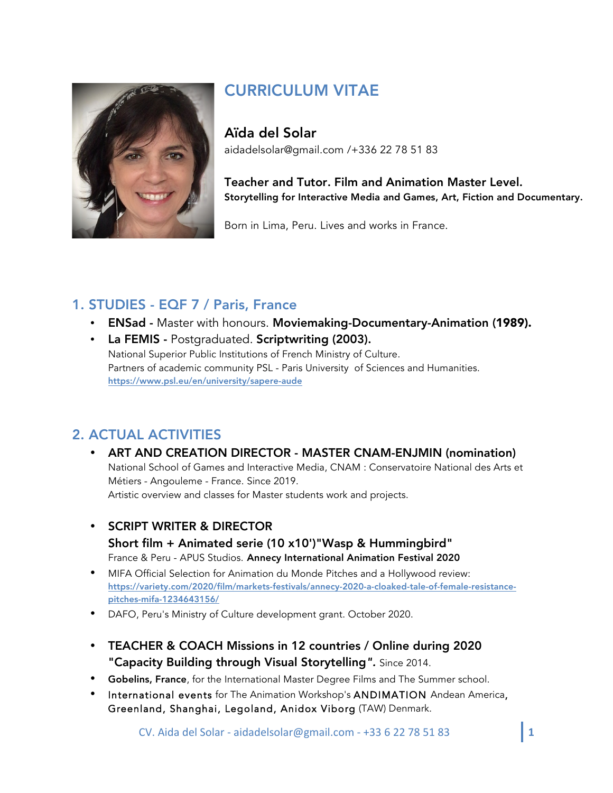

# CURRICULUM VITAE

Aïda del Solar aidadelsolar@gmail.com /+336 22 78 51 83

Teacher and Tutor. Film and Animation Master Level. Storytelling for Interactive Media and Games, Art, Fiction and Documentary.

Born in Lima, Peru. Lives and works in France.

## 1. STUDIES - EQF 7 / Paris, France

- ENSad Master with honours. Moviemaking-Documentary-Animation (1989).
- La FEMIS Postgraduated. Scriptwriting (2003). National Superior Public Institutions of French Ministry of Culture. Partners of academic community PSL - Paris University of Sciences and Humanities. https://www.psl.eu/en/university/sapere-aude

## 2. ACTUAL ACTIVITIES

- ART AND CREATION DIRECTOR MASTER CNAM-ENJMIN (nomination) National School of Games and Interactive Media, CNAM : Conservatoire National des Arts et Métiers - Angouleme - France. Since 2019. Artistic overview and classes for Master students work and projects.
- SCRIPT WRITER & DIRECTOR Short film + Animated serie (10 x10')"Wasp & Hummingbird" France & Peru - APUS Studios. Annecy International Animation Festival 2020
- MIFA Official Selection for Animation du Monde Pitches and a Hollywood review: https://variety.com/2020/film/markets-festivals/annecy-2020-a-cloaked-tale-of-female-resistancepitches-mifa-1234643156/
- DAFO, Peru's Ministry of Culture development grant. October 2020.
- TEACHER & COACH Missions in 12 countries / Online during 2020 "Capacity Building through Visual Storytelling*".* Since 2014.
- Gobelins, France, for the International Master Degree Films and The Summer school.
- International events for The Animation Workshop's ANDIMATION Andean America, Greenland, Shanghai, Legoland, Anidox Viborg (TAW) Denmark.

CV. Aida del Solar - aidadelsolar@gmail.com - +33 6 22 78 51 83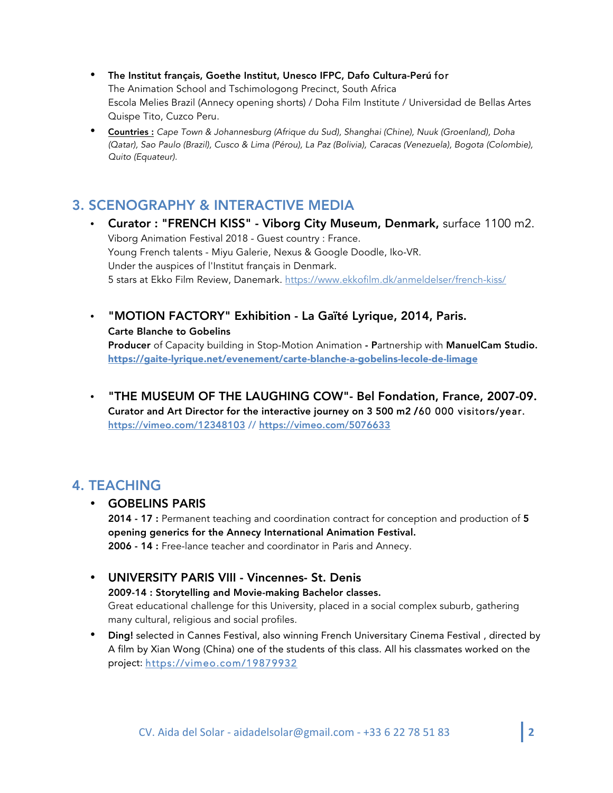- The Institut français, Goethe Institut, Unesco IFPC, Dafo Cultura-Perú for The Animation School and Tschimologong Precinct, South Africa Escola Melies Brazil (Annecy opening shorts) / Doha Film Institute / Universidad de Bellas Artes Quispe Tito, Cuzco Peru.
- Countries : *Cape Town & Johannesburg (Afrique du Sud), Shanghai (Chine), Nuuk (Groenland), Doha (Qatar), Sao Paulo (Brazil), Cusco & Lima (Pérou), La Paz (Bolivia), Caracas (Venezuela), Bogota (Colombie), Quito (Equateur).*

### 3. SCENOGRAPHY & INTERACTIVE MEDIA

- Curator : "FRENCH KISS" Viborg City Museum, Denmark, surface 1100 m2. Viborg Animation Festival 2018 - Guest country : France. Young French talents - Miyu Galerie, Nexus & Google Doodle, Iko-VR. Under the auspices of l'Institut français in Denmark. 5 stars at Ekko Film Review, Danemark. https://www.ekkofilm.dk/anmeldelser/french-kiss/
- "MOTION FACTORY" Exhibition La Gaïté Lyrique, 2014, Paris. Carte Blanche to Gobelins Producer of Capacity building in Stop-Motion Animation - Partnership with ManuelCam Studio. https://gaite-lyrique.net/evenement/carte-blanche-a-gobelins-lecole-de-limage
- "THE MUSEUM OF THE LAUGHING COW"- Bel Fondation, France, 2007-09. Curator and Art Director for the interactive journey on 3 500 m2 /60 000 visitors/year. https://vimeo.com/12348103 // https://vimeo.com/5076633

### 4. TEACHING

#### • GOBELINS PARIS

2014 - 17 : Permanent teaching and coordination contract for conception and production of 5 opening generics for the Annecy International Animation Festival. 2006 - 14 : Free-lance teacher and coordinator in Paris and Annecy.

#### • UNIVERSITY PARIS VIII - Vincennes- St. Denis

2009-14 : Storytelling and Movie-making Bachelor classes. Great educational challenge for this University, placed in a social complex suburb, gathering many cultural, religious and social profiles.

• Ding! selected in Cannes Festival, also winning French Universitary Cinema Festival, directed by A film by Xian Wong (China) one of the students of this class. All his classmates worked on the project: https://vimeo.com/19879932